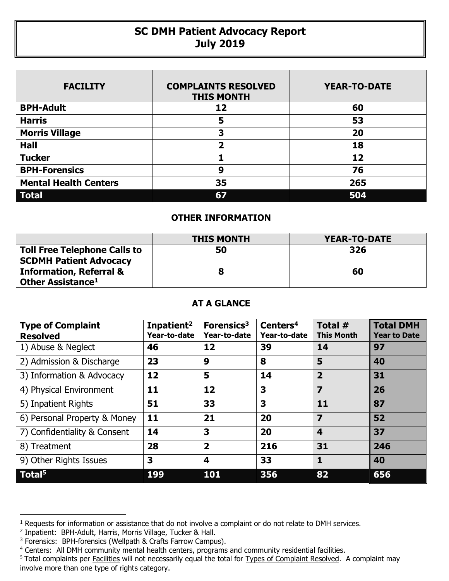## **SC DMH Patient Advocacy Report July 2019**

| <b>FACILITY</b>              | <b>COMPLAINTS RESOLVED</b><br><b>THIS MONTH</b> | <b>YEAR-TO-DATE</b> |
|------------------------------|-------------------------------------------------|---------------------|
| <b>BPH-Adult</b>             | 12                                              | 60                  |
| <b>Harris</b>                | 5                                               | 53                  |
| <b>Morris Village</b>        | 3                                               | 20                  |
| <b>Hall</b>                  | 2                                               | 18                  |
| <b>Tucker</b>                |                                                 | 12                  |
| <b>BPH-Forensics</b>         | 9                                               | 76                  |
| <b>Mental Health Centers</b> | 35                                              | 265                 |
| <b>Total</b>                 | 67                                              | 504                 |

## **OTHER INFORMATION**

|                                                                      | <b>THIS MONTH</b> | YEAR-TO-DATE |  |  |
|----------------------------------------------------------------------|-------------------|--------------|--|--|
| <b>Toll Free Telephone Calls to</b><br><b>SCDMH Patient Advocacy</b> | 50                | 326          |  |  |
| <b>Information, Referral &amp;</b><br>Other Assistance <sup>1</sup>  |                   | 60           |  |  |

## **AT A GLANCE**

| <b>Type of Complaint</b><br><b>Resolved</b> | Inpatient <sup>2</sup><br>Year-to-date | Forensics <sup>3</sup><br>Year-to-date | Centers <sup>4</sup><br>Year-to-date | Total #<br><b>This Month</b> | <b>Total DMH</b><br><b>Year to Date</b> |
|---------------------------------------------|----------------------------------------|----------------------------------------|--------------------------------------|------------------------------|-----------------------------------------|
| 1) Abuse & Neglect                          | 46                                     | 12                                     | 39                                   | 14                           | 97                                      |
| 2) Admission & Discharge                    | 23                                     | 9                                      | 8                                    | 5                            | 40                                      |
| 3) Information & Advocacy                   | 12                                     | 5                                      | 14                                   | $\overline{2}$               | 31                                      |
| 4) Physical Environment                     | 11                                     | 12                                     | 3                                    | 7                            | 26                                      |
| 5) Inpatient Rights                         | 51                                     | 33                                     | 3                                    | 11                           | 87                                      |
| 6) Personal Property & Money                | 11                                     | 21                                     | 20                                   | 7                            | 52                                      |
| 7) Confidentiality & Consent                | 14                                     | 3                                      | 20                                   | $\overline{\mathbf{4}}$      | 37                                      |
| 8) Treatment                                | 28                                     | $\overline{2}$                         | 216                                  | 31                           | 246                                     |
| 9) Other Rights Issues                      | 3                                      | 4                                      | 33                                   | 1                            | 40                                      |
| Total <sup>5</sup>                          | 199                                    | 101                                    | 356                                  | 82                           | 656                                     |

 $\overline{a}$ 

<sup>&</sup>lt;sup>1</sup> Requests for information or assistance that do not involve a complaint or do not relate to DMH services.

<sup>2</sup> Inpatient: BPH-Adult, Harris, Morris Village, Tucker & Hall.

<sup>&</sup>lt;sup>3</sup> Forensics: BPH-forensics (Wellpath & Crafts Farrow Campus).

<sup>&</sup>lt;sup>4</sup> Centers: All DMH community mental health centers, programs and community residential facilities.

<sup>&</sup>lt;sup>5</sup> Total complaints per Facilities will not necessarily equal the total for Types of Complaint Resolved. A complaint may involve more than one type of rights category.